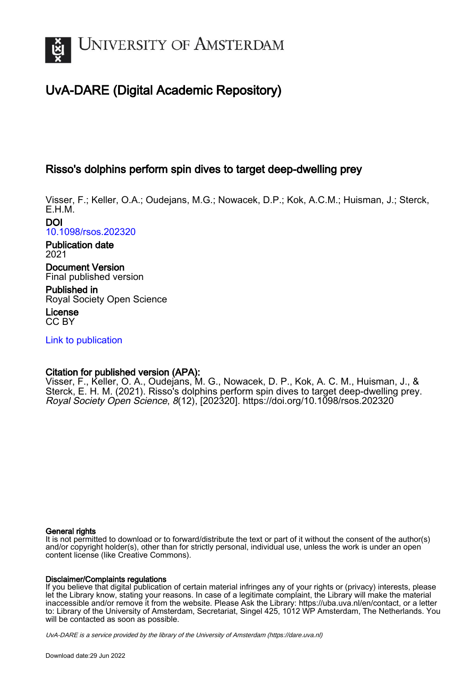

# UvA-DARE (Digital Academic Repository)

## Risso's dolphins perform spin dives to target deep-dwelling prey

Visser, F.; Keller, O.A.; Oudejans, M.G.; Nowacek, D.P.; Kok, A.C.M.; Huisman, J.; Sterck, E.H.M.

DOI [10.1098/rsos.202320](https://doi.org/10.1098/rsos.202320)

Publication date 2021

Document Version Final published version

Published in Royal Society Open Science

License CC BY

[Link to publication](https://dare.uva.nl/personal/pure/en/publications/rissos-dolphins-perform-spin-dives-to-target-deepdwelling-prey(4b6da8f5-3c79-493e-9d40-38adf68233a1).html)

## Citation for published version (APA):

Visser, F., Keller, O. A., Oudejans, M. G., Nowacek, D. P., Kok, A. C. M., Huisman, J., & Sterck, E. H. M. (2021). Risso's dolphins perform spin dives to target deep-dwelling prey. Royal Society Open Science, 8(12), [202320]. <https://doi.org/10.1098/rsos.202320>

#### General rights

It is not permitted to download or to forward/distribute the text or part of it without the consent of the author(s) and/or copyright holder(s), other than for strictly personal, individual use, unless the work is under an open content license (like Creative Commons).

#### Disclaimer/Complaints regulations

If you believe that digital publication of certain material infringes any of your rights or (privacy) interests, please let the Library know, stating your reasons. In case of a legitimate complaint, the Library will make the material inaccessible and/or remove it from the website. Please Ask the Library: https://uba.uva.nl/en/contact, or a letter to: Library of the University of Amsterdam, Secretariat, Singel 425, 1012 WP Amsterdam, The Netherlands. You will be contacted as soon as possible.

UvA-DARE is a service provided by the library of the University of Amsterdam (http*s*://dare.uva.nl)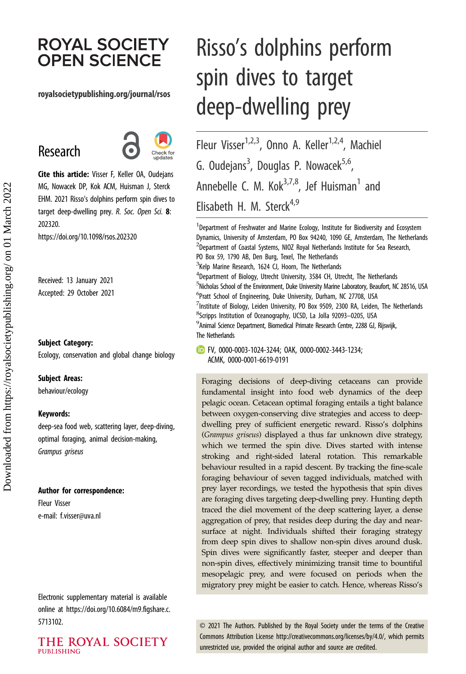# **ROYAL SOCIETY OPEN SCIENCE**

#### royalsocietypublishing.org/journal/rsos

# Research



Cite this article: Visser F, Keller OA, Oudejans MG, Nowacek DP, Kok ACM, Huisman J, Sterck EHM. 2021 Risso's dolphins perform spin dives to target deep-dwelling prey. R. Soc. Open Sci. 8: 202320.

https://doi.org/10.1098/rsos.202320

Received: 13 January 2021 Accepted: 29 October 2021

#### Subject Category:

Ecology, conservation and global change biology

#### Subject Areas:

behaviour/ecology

#### Keywords:

deep-sea food web, scattering layer, deep-diving, optimal foraging, animal decision-making, Grampus griseus

#### Author for correspondence:

Fleur Visser e-mail: [f.visser@uva.nl](mailto:f.visser@uva.nl)

Electronic supplementary material is available online at [https://doi.org/10.6084/m9.figshare.c.](https://doi.org/10.6084/m9.figshare.c.5713102) [5713102.](https://doi.org/10.6084/m9.figshare.c.5713102)

THE ROYAL SOCIETY **PUBLISHING** 

# Risso's dolphins perform spin dives to target deep-dwelling prey

Fleur Visser<sup>1,2,3</sup>, Onno A. Keller<sup>1,2,4</sup>, Machiel G. Oudejans<sup>3</sup>, Douglas P. Nowacek<sup>5,6</sup>, Annebelle C. M. Ko $k^{3,7,8}$ , Jef Huisman<sup>1</sup> and Elisabeth H. M. Sterck<sup>4,9</sup>

<sup>1</sup> Department of Freshwater and Marine Ecology, Institute for Biodiversity and Ecosystem Dynamics, University of Amsterdam, PO Box 94240, 1090 GE, Amsterdam, The Netherlands <sup>2</sup>Department of Coastal Systems, NIOZ Royal Netherlands Institute for Sea Research, PO Box 59, 1790 AB, Den Burg, Texel, The Netherlands <sup>3</sup>Kelp Marine Research, 1624 CJ, Hoorn, The Netherlands <sup>4</sup>Department of Biology, Utrecht University, 3584 CH, Utrecht, The Netherlands <sup>5</sup>Nicholas School of the Environment, Duke University Marine Laboratory, Beaufort, NC 28516, USA 6 Pratt School of Engineering, Duke University, Durham, NC 27708, USA  $^7$ Institute of Biology, Leiden University, PO Box 9509, 2300 RA, Leiden, The Netherlands <sup>8</sup>Scripps Institution of Oceanography, UCSD, La Jolla 92093–0205, USA <sup>9</sup> Animal Science Department, Biomedical Primate Research Centre, 2288 GJ, Rijswijk, The Netherlands

FV, [0000-0003-1024-3244](http://orcid.org/0000-0003-1024-3244); OAK, [0000-0002-3443-1234](https://orcid.org/0000-0002-3443-1234); ACMK, [0000-0001-6619-0191](http://orcid.org/0000-0001-6619-0191)

Foraging decisions of deep-diving cetaceans can provide fundamental insight into food web dynamics of the deep pelagic ocean. Cetacean optimal foraging entails a tight balance between oxygen-conserving dive strategies and access to deepdwelling prey of sufficient energetic reward. Risso's dolphins (Grampus griseus) displayed a thus far unknown dive strategy, which we termed the spin dive. Dives started with intense stroking and right-sided lateral rotation. This remarkable behaviour resulted in a rapid descent. By tracking the fine-scale foraging behaviour of seven tagged individuals, matched with prey layer recordings, we tested the hypothesis that spin dives are foraging dives targeting deep-dwelling prey. Hunting depth traced the diel movement of the deep scattering layer, a dense aggregation of prey, that resides deep during the day and nearsurface at night. Individuals shifted their foraging strategy from deep spin dives to shallow non-spin dives around dusk. Spin dives were significantly faster, steeper and deeper than non-spin dives, effectively minimizing transit time to bountiful mesopelagic prey, and were focused on periods when the migratory prey might be easier to catch. Hence, whereas Risso's

© 2021 The Authors. Published by the Royal Society under the terms of the Creative Commons Attribution License<http://creativecommons.org/licenses/by/4.0/>, which permits unrestricted use, provided the original author and source are credited.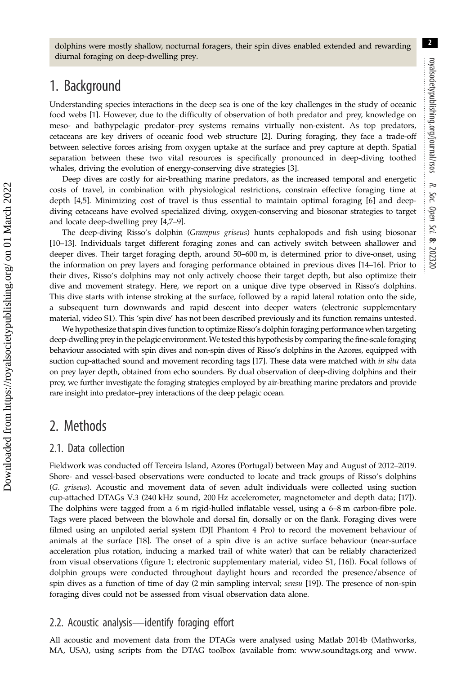2

dolphins were mostly shallow, nocturnal foragers, their spin dives enabled extended and rewarding diurnal foraging on deep-dwelling prey.

## 1. Background

Understanding species interactions in the deep sea is one of the key challenges in the study of oceanic food webs [\[1\]](#page-9-0). However, due to the difficulty of observation of both predator and prey, knowledge on meso- and bathypelagic predator–prey systems remains virtually non-existent. As top predators, cetaceans are key drivers of oceanic food web structure [[2](#page-9-0)]. During foraging, they face a trade-off between selective forces arising from oxygen uptake at the surface and prey capture at depth. Spatial separation between these two vital resources is specifically pronounced in deep-diving toothed whales, driving the evolution of energy-conserving dive strategies [\[3\]](#page-9-0).

Deep dives are costly for air-breathing marine predators, as the increased temporal and energetic costs of travel, in combination with physiological restrictions, constrain effective foraging time at depth [[4](#page-9-0),[5](#page-9-0)]. Minimizing cost of travel is thus essential to maintain optimal foraging [\[6\]](#page-9-0) and deepdiving cetaceans have evolved specialized diving, oxygen-conserving and biosonar strategies to target and locate deep-dwelling prey [[4,7](#page-9-0)–[9\]](#page-9-0).

The deep-diving Risso's dolphin (Grampus griseus) hunts cephalopods and fish using biosonar [\[10](#page-9-0)–[13\]](#page-10-0). Individuals target different foraging zones and can actively switch between shallower and deeper dives. Their target foraging depth, around 50–600 m, is determined prior to dive-onset, using the information on prey layers and foraging performance obtained in previous dives [[14](#page-10-0)–[16](#page-10-0)]. Prior to their dives, Risso's dolphins may not only actively choose their target depth, but also optimize their dive and movement strategy. Here, we report on a unique dive type observed in Risso's dolphins. This dive starts with intense stroking at the surface, followed by a rapid lateral rotation onto the side, a subsequent turn downwards and rapid descent into deeper waters (electronic supplementary material, video S1). This 'spin dive' has not been described previously and its function remains untested.

We hypothesize that spin dives function to optimize Risso's dolphin foraging performance when targeting deep-dwelling prey in the pelagic environment.We tested this hypothesis by comparing the fine-scale foraging behaviour associated with spin dives and non-spin dives of Risso's dolphins in the Azores, equipped with suction cup-attached sound and movement recording tags [[17](#page-10-0)]. These data were matched with in situ data on prey layer depth, obtained from echo sounders. By dual observation of deep-diving dolphins and their prey, we further investigate the foraging strategies employed by air-breathing marine predators and provide rare insight into predator–prey interactions of the deep pelagic ocean.

## 2. Methods

## 2.1. Data collection

Fieldwork was conducted off Terceira Island, Azores (Portugal) between May and August of 2012–2019. Shore- and vessel-based observations were conducted to locate and track groups of Risso's dolphins (G. griseus). Acoustic and movement data of seven adult individuals were collected using suction cup-attached DTAGs V.3 (240 kHz sound, 200 Hz accelerometer, magnetometer and depth data; [\[17](#page-10-0)]). The dolphins were tagged from a 6 m rigid-hulled inflatable vessel, using a 6–8 m carbon-fibre pole. Tags were placed between the blowhole and dorsal fin, dorsally or on the flank. Foraging dives were filmed using an unpiloted aerial system (DJI Phantom 4 Pro) to record the movement behaviour of animals at the surface [[18\]](#page-10-0). The onset of a spin dive is an active surface behaviour (near-surface acceleration plus rotation, inducing a marked trail of white water) that can be reliably characterized from visual observations ([figure 1](#page-3-0); electronic supplementary material, video S1, [\[16](#page-10-0)]). Focal follows of dolphin groups were conducted throughout daylight hours and recorded the presence/absence of spin dives as a function of time of day (2 min sampling interval; *sensu* [\[19](#page-10-0)]). The presence of non-spin foraging dives could not be assessed from visual observation data alone.

## 2.2. Acoustic analysis—identify foraging effort

All acoustic and movement data from the DTAGs were analysed using Matlab 2014b (Mathworks, MA, USA), using scripts from the DTAG toolbox (available from: [www.soundtags.org](http://www.soundtags.org) and [www.](http://www.animaltags.org)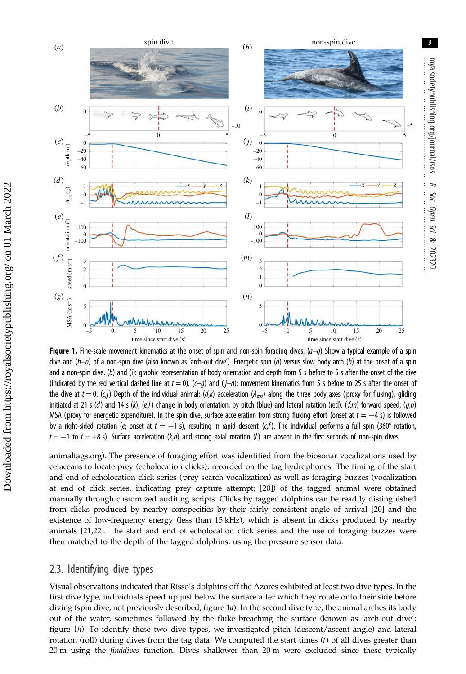<span id="page-3-0"></span>

Figure 1. Fine-scale movement kinematics at the onset of spin and non-spin foraging dives.  $(a-g)$  Show a typical example of a spin dive and  $(h-n)$  of a non-spin dive (also known as 'arch-out dive'). Energetic spin (a) versus slow body arch (h) at the onset of a spin and a non-spin dive. (b) and (i): graphic representation of body orientation and depth from 5 s before to 5 s after the onset of the dive (indicated by the red vertical dashed line at  $t = 0$ ). (c-g) and ( $j - n$ ): movement kinematics from 5 s before to 25 s after the onset of the dive at  $t = 0$ . (c,j) Depth of the individual animal; (d,k) acceleration ( $A_{xyz}$ ) along the three body axes (proxy for fluking), gliding initiated at 21 s (d) and 14 s (k); (e,l) change in body orientation, by pitch (blue) and lateral rotation (red); (f,m) forward speed; (g,n) MSA (proxy for energetic expenditure). In the spin dive, surface acceleration from strong fluking effort (onset at  $t = -4$  s) is followed by a right-sided rotation (e; onset at  $t = -1$  s), resulting in rapid descent (c,f). The individual performs a full spin (360° rotation,  $t = -1$  to  $t = +8$  s). Surface acceleration (k,n) and strong axial rotation (1) are absent in the first seconds of non-spin dives.

[animaltags.org](http://www.animaltags.org)). The presence of foraging effort was identified from the biosonar vocalizations used by cetaceans to locate prey (echolocation clicks), recorded on the tag hydrophones. The timing of the start and end of echolocation click series (prey search vocalization) as well as foraging buzzes (vocalization at end of click series, indicating prey capture attempt; [\[20](#page-10-0)]) of the tagged animal were obtained manually through customized auditing scripts. Clicks by tagged dolphins can be readily distinguished from clicks produced by nearby conspecifics by their fairly consistent angle of arrival [[20\]](#page-10-0) and the existence of low-frequency energy (less than 15 kHz), which is absent in clicks produced by nearby animals [\[21](#page-10-0),[22](#page-10-0)]. The start and end of echolocation click series and the use of foraging buzzes were then matched to the depth of the tagged dolphins, using the pressure sensor data.

## 2.3. Identifying dive types

Visual observations indicated that Risso's dolphins off the Azores exhibited at least two dive types. In the first dive type, individuals speed up just below the surface after which they rotate onto their side before diving (spin dive; not previously described; figure 1a). In the second dive type, the animal arches its body out of the water, sometimes followed by the fluke breaching the surface (known as 'arch-out dive'; figure 1h). To identify these two dive types, we investigated pitch (descent/ascent angle) and lateral rotation (roll) during dives from the tag data. We computed the start times (t) of all dives greater than 20 m using the *finddives* function. Dives shallower than 20 m were excluded since these typically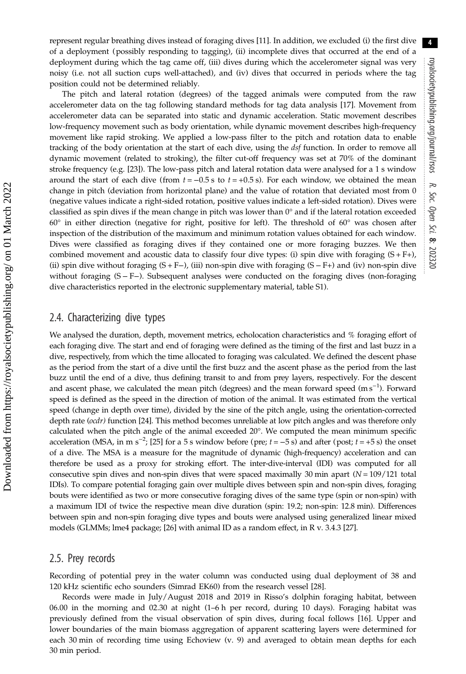represent regular breathing dives instead of foraging dives [\[11\]](#page-9-0). In addition, we excluded (i) the first dive of a deployment (possibly responding to tagging), (ii) incomplete dives that occurred at the end of a deployment during which the tag came off, (iii) dives during which the accelerometer signal was very noisy (i.e. not all suction cups well-attached), and (iv) dives that occurred in periods where the tag position could not be determined reliably.

The pitch and lateral rotation (degrees) of the tagged animals were computed from the raw accelerometer data on the tag following standard methods for tag data analysis [\[17](#page-10-0)]. Movement from accelerometer data can be separated into static and dynamic acceleration. Static movement describes low-frequency movement such as body orientation, while dynamic movement describes high-frequency movement like rapid stroking. We applied a low-pass filter to the pitch and rotation data to enable tracking of the body orientation at the start of each dive, using the dsf function. In order to remove all dynamic movement (related to stroking), the filter cut-off frequency was set at 70% of the dominant stroke frequency (e.g. [[23](#page-10-0)]). The low-pass pitch and lateral rotation data were analysed for a 1 s window around the start of each dive (from  $t = -0.5$  s to  $t = +0.5$  s). For each window, we obtained the mean change in pitch (deviation from horizontal plane) and the value of rotation that deviated most from 0 (negative values indicate a right-sided rotation, positive values indicate a left-sided rotation). Dives were classified as spin dives if the mean change in pitch was lower than  $0^{\circ}$  and if the lateral rotation exceeded  $60^\circ$  in either direction (negative for right, positive for left). The threshold of  $60^\circ$  was chosen after inspection of the distribution of the maximum and minimum rotation values obtained for each window. Dives were classified as foraging dives if they contained one or more foraging buzzes. We then combined movement and acoustic data to classify four dive types: (i) spin dive with foraging  $(S + F+)$ , (ii) spin dive without foraging  $(S + F-)$ , (iii) non-spin dive with foraging  $(S - F+)$  and (iv) non-spin dive without foraging (S − F−). Subsequent analyses were conducted on the foraging dives (non-foraging dive characteristics reported in the electronic supplementary material, table S1).

#### 2.4. Characterizing dive types

We analysed the duration, depth, movement metrics, echolocation characteristics and % foraging effort of each foraging dive. The start and end of foraging were defined as the timing of the first and last buzz in a dive, respectively, from which the time allocated to foraging was calculated. We defined the descent phase as the period from the start of a dive until the first buzz and the ascent phase as the period from the last buzz until the end of a dive, thus defining transit to and from prey layers, respectively. For the descent and ascent phase, we calculated the mean pitch (degrees) and the mean forward speed (m s<sup>-1</sup>). Forward speed is defined as the speed in the direction of motion of the animal. It was estimated from the vertical speed (change in depth over time), divided by the sine of the pitch angle, using the orientation-corrected depth rate (ocdr) function [\[24\]](#page-10-0). This method becomes unreliable at low pitch angles and was therefore only calculated when the pitch angle of the animal exceeded  $20^{\circ}$ . We computed the mean minimum specific acceleration (MSA, in m s<sup>-2</sup>; [[25\]](#page-10-0) for a 5 s window before (pre;  $t = -5$  s) and after (post;  $t = +5$  s) the onset of a dive. The MSA is a measure for the magnitude of dynamic (high-frequency) acceleration and can therefore be used as a proxy for stroking effort. The inter-dive-interval (IDI) was computed for all consecutive spin dives and non-spin dives that were spaced maximally 30 min apart  $(N = 109/121)$  total IDIs). To compare potential foraging gain over multiple dives between spin and non-spin dives, foraging bouts were identified as two or more consecutive foraging dives of the same type (spin or non-spin) with a maximum IDI of twice the respective mean dive duration (spin: 19.2; non-spin: 12.8 min). Differences between spin and non-spin foraging dive types and bouts were analysed using generalized linear mixed models (GLMMs; lme4 package; [\[26\]](#page-10-0) with animal ID as a random effect, in R v. 3.4.3 [\[27](#page-10-0)].

#### 2.5. Prey records

Recording of potential prey in the water column was conducted using dual deployment of 38 and 120 kHz scientific echo sounders (Simrad EK60) from the research vessel [\[28](#page-10-0)].

Records were made in July/August 2018 and 2019 in Risso's dolphin foraging habitat, between 06.00 in the morning and 02.30 at night (1–6 h per record, during 10 days). Foraging habitat was previously defined from the visual observation of spin dives, during focal follows [[16\]](#page-10-0). Upper and lower boundaries of the main biomass aggregation of apparent scattering layers were determined for each 30 min of recording time using Echoview (v. 9) and averaged to obtain mean depths for each 30 min period.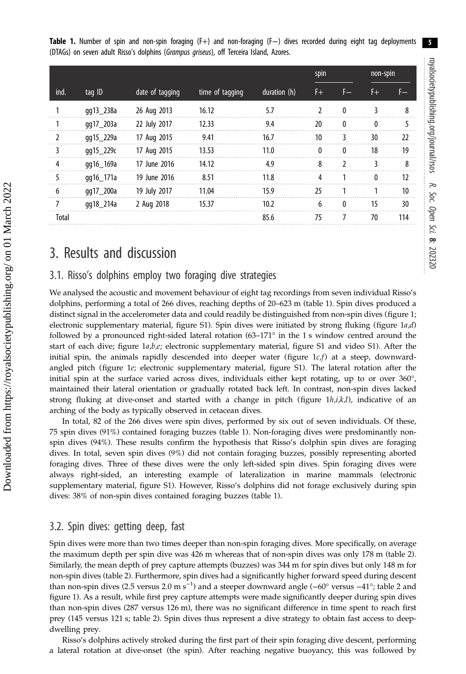|  |                                                                                         |  |  |  |  |  |  |  |  |  | Table 1. Number of spin and non-spin foraging (F+) and non-foraging (F-) dives recorded during eight tag deployments |  |
|--|-----------------------------------------------------------------------------------------|--|--|--|--|--|--|--|--|--|----------------------------------------------------------------------------------------------------------------------|--|
|  | (DTAGs) on seven adult Risso's dolphins (Grampus griseus), off Terceira Island, Azores. |  |  |  |  |  |  |  |  |  |                                                                                                                      |  |

|              |           |                 |                 |              | spin         |              |    | non-spin |  |  |
|--------------|-----------|-----------------|-----------------|--------------|--------------|--------------|----|----------|--|--|
| ind.         | tag ID    | date of tagging | time of tagging | duration (h) | F+.          | F—           | F+ | F—       |  |  |
| 1            | gg13_238a | 26 Aug 2013     | 16.12           | 5.7          | <sup>2</sup> | $\mathbf{0}$ | 3  | 8        |  |  |
|              | gg17_203a | 22 July 2017    | 12.33           | 9.4          | 20           | 0            | 0  | 5        |  |  |
| 2            | gg15_229a | 17 Aug 2015     | 9.41            | 16.7         | 10           | 3            | 30 | 22       |  |  |
| 3            | qq15_229c | 17 Aug 2015     | 13.53           | 11.0         | $\mathbf{0}$ | 0            | 18 | 19       |  |  |
| 4            | gg16_169a | 17 June 2016    | 14.12           | 4.9          | 8            | 2            | 3  | 8        |  |  |
| 5            | gg16_171a | 19 June 2016    | 8.51            | 11.8         | 4            |              | 0  | 12       |  |  |
| 6            | gg17_200a | 19 July 2017    | 11.04           | 15.9         | 25           |              |    | 10       |  |  |
| 7            | gg18_214a | 2 Aug 2018      | 15.37           | 10.2         | 6            | 0            | 15 | 30       |  |  |
| <b>Total</b> |           |                 |                 | 85.6         | 75           | 7            | 70 | 114      |  |  |

## 3. Results and discussion

#### 3.1. Risso's dolphins employ two foraging dive strategies

We analysed the acoustic and movement behaviour of eight tag recordings from seven individual Risso's dolphins, performing a total of 266 dives, reaching depths of 20–623 m (table 1). Spin dives produced a distinct signal in the accelerometer data and could readily be distinguished from non-spin dives ([figure 1](#page-3-0); electronic supplementary material, figure S1). Spin dives were initiated by strong fluking (figure  $1a,d$ ) followed by a pronounced right-sided lateral rotation (63-171° in the 1 s window centred around the start of each dive; [figure 1](#page-3-0)a,b,e; electronic supplementary material, figure S1 and video S1). After the initial spin, the animals rapidly descended into deeper water (figure  $1c<sub>f</sub>$ ) at a steep, downwardangled pitch ([figure 1](#page-3-0)e; electronic supplementary material, figure S1). The lateral rotation after the initial spin at the surface varied across dives, individuals either kept rotating, up to or over 360°, maintained their lateral orientation or gradually rotated back left. In contrast, non-spin dives lacked strong fluking at dive-onset and started with a change in pitch (figure  $1h, i, k, l$ ), indicative of an arching of the body as typically observed in cetacean dives.

In total, 82 of the 266 dives were spin dives, performed by six out of seven individuals. Of these, 75 spin dives (91%) contained foraging buzzes (table 1). Non-foraging dives were predominantly nonspin dives (94%). These results confirm the hypothesis that Risso's dolphin spin dives are foraging dives. In total, seven spin dives (9%) did not contain foraging buzzes, possibly representing aborted foraging dives. Three of these dives were the only left-sided spin dives. Spin foraging dives were always right-sided, an interesting example of lateralization in marine mammals (electronic supplementary material, figure S1). However, Risso's dolphins did not forage exclusively during spin dives: 38% of non-spin dives contained foraging buzzes (table 1).

## 3.2. Spin dives: getting deep, fast

Spin dives were more than two times deeper than non-spin foraging dives. More specifically, on average the maximum depth per spin dive was 426 m whereas that of non-spin dives was only 178 m ([table 2](#page-6-0)). Similarly, the mean depth of prey capture attempts (buzzes) was 344 m for spin dives but only 148 m for non-spin dives [\(table 2\)](#page-6-0). Furthermore, spin dives had a significantly higher forward speed during descent than non-spin dives (2.5 versus 2.0 m s<sup>-1</sup>) and a steeper downward angle (–60° versus –41°; [table 2](#page-6-0) and [figure 1\)](#page-3-0). As a result, while first prey capture attempts were made significantly deeper during spin dives than non-spin dives (287 versus 126 m), there was no significant difference in time spent to reach first prey (145 versus 121 s; [table 2\)](#page-6-0). Spin dives thus represent a dive strategy to obtain fast access to deepdwelling prey.

Risso's dolphins actively stroked during the first part of their spin foraging dive descent, performing a lateral rotation at dive-onset (the spin). After reaching negative buoyancy, this was followed by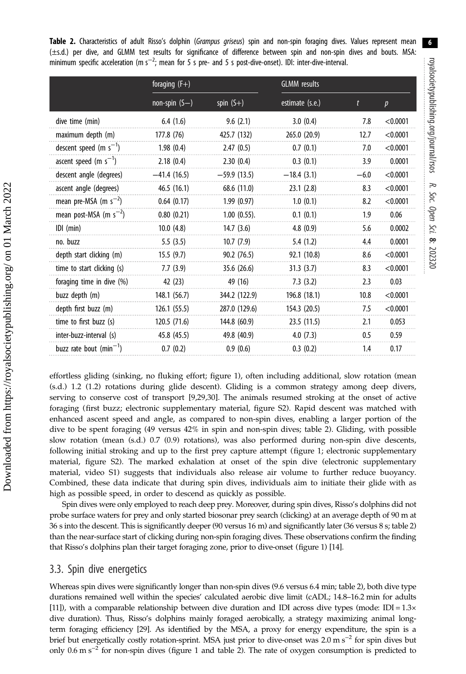6

<span id="page-6-0"></span>Table 2. Characteristics of adult Risso's dolphin (Grampus griseus) spin and non-spin foraging dives. Values represent mean (±s.d.) per dive, and GLMM test results for significance of difference between spin and non-spin dives and bouts. MSA: minimum specific acceleration (m s<sup>-2</sup>; mean for 5 s pre- and 5 s post-dive-onset). IDI: inter-dive-interval.

|                             | foraging $(F+)$ |                   | <b>GLMM</b> results |        |                  |
|-----------------------------|-----------------|-------------------|---------------------|--------|------------------|
|                             | non-spin $(S-)$ | spin $(S+)$       | estimate (s.e.)     | t      | $\boldsymbol{p}$ |
| dive time (min)             | 6.4(1.6)        | 9.6(2.1)          | 3.0(0.4)            | 7.8    | < 0.0001         |
| maximum depth (m)           | 177.8 (76)      | 425.7 (132)       | 265.0 (20.9)        | 12.7   | < 0.0001         |
| descent speed (m $s^{-1}$ ) | 1.98(0.4)       | 2.47(0.5)         | 0.7(0.1)            | 7.0    | < 0.0001         |
| ascent speed (m $s^{-1}$ )  | 2.18(0.4)       | 2.30(0.4)         | 0.3(0.1)            | 3.9    | 0.0001           |
| descent angle (degrees)     | $-41.4(16.5)$   | $-59.9(13.5)$     | $-18.4(3.1)$        | $-6.0$ | < 0.0001         |
| ascent angle (degrees)      | 46.5(16.1)      | 68.6 (11.0)       | 23.1(2.8)           | 8.3    | < 0.0001         |
| mean pre-MSA (m $s^{-2}$ )  | 0.64(0.17)      | 1.99(0.97)        | 1.0(0.1)            | 8.2    | < 0.0001         |
| mean post-MSA (m $s^{-2}$ ) | 0.80(0.21)      | $1.00$ $(0.55)$ . | 0.1(0.1)            | 1.9    | 0.06             |
| $IDI$ (min)                 | 10.0(4.8)       | 14.7(3.6)         | 4.8(0.9)            | 5.6    | 0.0002           |
| no. buzz                    | 5.5(3.5)        | 10.7(7.9)         | 5.4(1.2)            | 4.4    | 0.0001           |
| depth start clicking (m)    | 15.5(9.7)       | 90.2(76.5)        | 92.1 (10.8)         | 8.6    | < 0.0001         |
| time to start clicking (s)  | 7.7(3.9)        | 35.6(26.6)        | 31.3(3.7)           | 8.3    | < 0.0001         |
| foraging time in dive (%)   | 42 (23)         | 49 (16)           | 7.3(3.2)            | 2.3    | 0.03             |
| buzz depth (m)              | 148.1 (56.7)    | 344.2 (122.9)     | 196.8 (18.1)        | 10.8   | < 0.0001         |
| depth first buzz (m)        | 126.1(55.5)     | 287.0 (129.6)     | 154.3 (20.5)        | 7.5    | < 0.0001         |
| time to first buzz (s)      | 120.5(71.6)     | 144.8 (60.9)      | 23.5(11.5)          | 2.1    | 0.053            |
| inter-buzz-interval (s)     | 45.8 (45.5)     | 49.8 (40.9)       | 4.0(7.3)            | 0.5    | 0.59             |
| buzz rate bout $(min^{-1})$ | 0.7(0.2)        | 0.9(0.6)          | 0.3(0.2)            | 1.4    | 0.17             |

effortless gliding (sinking, no fluking effort; [figure 1\)](#page-3-0), often including additional, slow rotation (mean (s.d.) 1.2 (1.2) rotations during glide descent). Gliding is a common strategy among deep divers, serving to conserve cost of transport [\[9,](#page-9-0)[29,30](#page-10-0)]. The animals resumed stroking at the onset of active foraging (first buzz; electronic supplementary material, figure S2). Rapid descent was matched with enhanced ascent speed and angle, as compared to non-spin dives, enabling a larger portion of the dive to be spent foraging (49 versus 42% in spin and non-spin dives; table 2). Gliding, with possible slow rotation (mean (s.d.) 0.7 (0.9) rotations), was also performed during non-spin dive descents, following initial stroking and up to the first prey capture attempt [\(figure 1](#page-3-0); electronic supplementary material, figure S2). The marked exhalation at onset of the spin dive (electronic supplementary material, video S1) suggests that individuals also release air volume to further reduce buoyancy. Combined, these data indicate that during spin dives, individuals aim to initiate their glide with as high as possible speed, in order to descend as quickly as possible.

Spin dives were only employed to reach deep prey. Moreover, during spin dives, Risso's dolphins did not probe surface waters for prey and only started biosonar prey search (clicking) at an average depth of 90 m at 36 s into the descent. This is significantly deeper (90 versus 16 m) and significantly later (36 versus 8 s; table 2) than the near-surface start of clicking during non-spin foraging dives. These observations confirm the finding that Risso's dolphins plan their target foraging zone, prior to dive-onset [\(figure 1\)](#page-3-0) [[14](#page-10-0)].

#### 3.3. Spin dive energetics

Whereas spin dives were significantly longer than non-spin dives (9.6 versus 6.4 min; table 2), both dive type durations remained well within the species' calculated aerobic dive limit (cADL; 14.8–16.2 min for adults [\[11](#page-9-0)]), with a comparable relationship between dive duration and IDI across dive types (mode: IDI =  $1.3\times$ dive duration). Thus, Risso's dolphins mainly foraged aerobically, a strategy maximizing animal longterm foraging efficiency [\[29\]](#page-10-0). As identified by the MSA, a proxy for energy expenditure, the spin is a brief but energetically costly rotation-sprint. MSA just prior to dive-onset was 2.0 m s−<sup>2</sup> for spin dives but only 0.6 m s−<sup>2</sup> for non-spin dives [\(figure 1](#page-3-0) and table 2). The rate of oxygen consumption is predicted to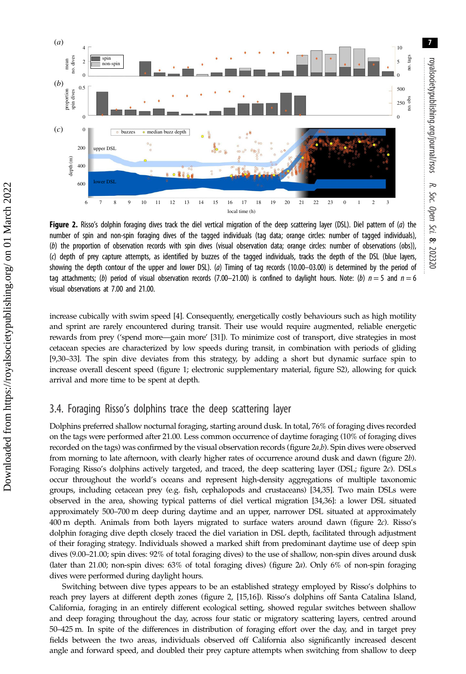<span id="page-7-0"></span>

Figure 2. Risso's dolphin foraging dives track the diel vertical migration of the deep scattering layer (DSL). Diel pattern of  $(a)$  the number of spin and non-spin foraging dives of the tagged individuals (tag data; orange circles: number of tagged individuals), (b) the proportion of observation records with spin dives (visual observation data; orange circles: number of observations (obs)), (c) depth of prey capture attempts, as identified by buzzes of the tagged individuals, tracks the depth of the DSL (blue layers, showing the depth contour of the upper and lower DSL). (a) Timing of tag records (10.00–03.00) is determined by the period of tag attachments; (b) period of visual observation records (7.00–21.00) is confined to daylight hours. Note: (b)  $n = 5$  and  $n = 6$ visual observations at 7.00 and 21.00.

increase cubically with swim speed [\[4](#page-9-0)]. Consequently, energetically costly behaviours such as high motility and sprint are rarely encountered during transit. Their use would require augmented, reliable energetic rewards from prey ('spend more—gain more' [[31](#page-10-0)]). To minimize cost of transport, dive strategies in most cetacean species are characterized by low speeds during transit, in combination with periods of gliding [\[9,](#page-9-0)[30](#page-10-0)–[33](#page-10-0)]. The spin dive deviates from this strategy, by adding a short but dynamic surface spin to increase overall descent speed [\(figure 1](#page-3-0); electronic supplementary material, figure S2), allowing for quick arrival and more time to be spent at depth.

## 3.4. Foraging Risso's dolphins trace the deep scattering layer

Dolphins preferred shallow nocturnal foraging, starting around dusk. In total, 76% of foraging dives recorded on the tags were performed after 21.00. Less common occurrence of daytime foraging (10% of foraging dives recorded on the tags) was confirmed by the visual observation records (figure 2a,b). Spin dives were observed from morning to late afternoon, with clearly higher rates of occurrence around dusk and dawn (figure 2b). Foraging Risso's dolphins actively targeted, and traced, the deep scattering layer (DSL; figure 2c). DSLs occur throughout the world's oceans and represent high-density aggregations of multiple taxonomic groups, including cetacean prey (e.g. fish, cephalopods and crustaceans) [\[34,35\]](#page-10-0). Two main DSLs were observed in the area, showing typical patterns of diel vertical migration [\[34,36\]](#page-10-0): a lower DSL situated approximately 500–700 m deep during daytime and an upper, narrower DSL situated at approximately 400 m depth. Animals from both layers migrated to surface waters around dawn (figure 2c). Risso's dolphin foraging dive depth closely traced the diel variation in DSL depth, facilitated through adjustment of their foraging strategy. Individuals showed a marked shift from predominant daytime use of deep spin dives (9.00–21.00; spin dives: 92% of total foraging dives) to the use of shallow, non-spin dives around dusk (later than 21.00; non-spin dives: 63% of total foraging dives) (figure 2a). Only 6% of non-spin foraging dives were performed during daylight hours.

Switching between dive types appears to be an established strategy employed by Risso's dolphins to reach prey layers at different depth zones (figure 2, [\[15,16](#page-10-0)]). Risso's dolphins off Santa Catalina Island, California, foraging in an entirely different ecological setting, showed regular switches between shallow and deep foraging throughout the day, across four static or migratory scattering layers, centred around 50–425 m. In spite of the differences in distribution of foraging effort over the day, and in target prey fields between the two areas, individuals observed off California also significantly increased descent angle and forward speed, and doubled their prey capture attempts when switching from shallow to deep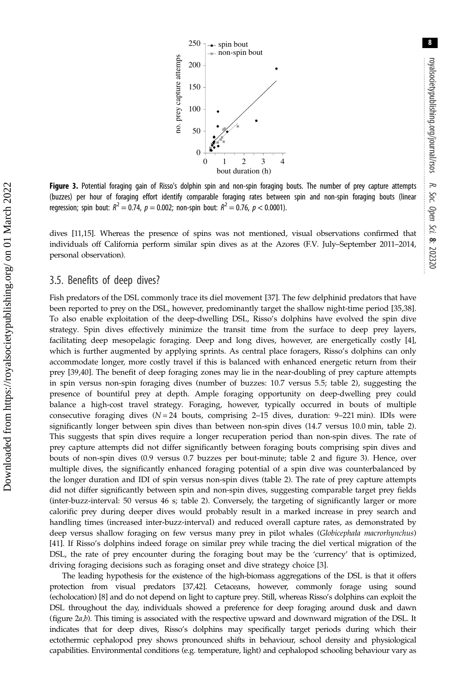8



Figure 3. Potential foraging gain of Risso's dolphin spin and non-spin foraging bouts. The number of prey capture attempts (buzzes) per hour of foraging effort identify comparable foraging rates between spin and non-spin foraging bouts (linear regression; spin bout:  $R^2 = 0.74$ ,  $p = 0.002$ ; non-spin bout:  $R^2 = 0.76$ ,  $p < 0.0001$ ).

dives [\[11](#page-9-0),[15](#page-10-0)]. Whereas the presence of spins was not mentioned, visual observations confirmed that individuals off California perform similar spin dives as at the Azores (F.V. July–September 2011–2014, personal observation).

#### 3.5. Benefits of deep dives?

Fish predators of the DSL commonly trace its diel movement [[37\]](#page-10-0). The few delphinid predators that have been reported to prey on the DSL, however, predominantly target the shallow night-time period [\[35,38](#page-10-0)]. To also enable exploitation of the deep-dwelling DSL, Risso's dolphins have evolved the spin dive strategy. Spin dives effectively minimize the transit time from the surface to deep prey layers, facilitating deep mesopelagic foraging. Deep and long dives, however, are energetically costly [[4](#page-9-0)], which is further augmented by applying sprints. As central place foragers, Risso's dolphins can only accommodate longer, more costly travel if this is balanced with enhanced energetic return from their prey [\[39,40](#page-10-0)]. The benefit of deep foraging zones may lie in the near-doubling of prey capture attempts in spin versus non-spin foraging dives (number of buzzes: 10.7 versus 5.5; [table 2](#page-6-0)), suggesting the presence of bountiful prey at depth. Ample foraging opportunity on deep-dwelling prey could balance a high-cost travel strategy. Foraging, however, typically occurred in bouts of multiple consecutive foraging dives  $(N = 24$  bouts, comprising 2-15 dives, duration: 9-221 min). IDIs were significantly longer between spin dives than between non-spin dives (14.7 versus 10.0 min, [table 2](#page-6-0)). This suggests that spin dives require a longer recuperation period than non-spin dives. The rate of prey capture attempts did not differ significantly between foraging bouts comprising spin dives and bouts of non-spin dives (0.9 versus 0.7 buzzes per bout-minute; [table 2](#page-6-0) and figure 3). Hence, over multiple dives, the significantly enhanced foraging potential of a spin dive was counterbalanced by the longer duration and IDI of spin versus non-spin dives [\(table 2](#page-6-0)). The rate of prey capture attempts did not differ significantly between spin and non-spin dives, suggesting comparable target prey fields (inter-buzz-interval: 50 versus 46 s; [table 2](#page-6-0)). Conversely, the targeting of significantly larger or more calorific prey during deeper dives would probably result in a marked increase in prey search and handling times (increased inter-buzz-interval) and reduced overall capture rates, as demonstrated by deep versus shallow foraging on few versus many prey in pilot whales (Globicephala macrorhynchus) [\[41](#page-10-0)]. If Risso's dolphins indeed forage on similar prey while tracing the diel vertical migration of the DSL, the rate of prey encounter during the foraging bout may be the 'currency' that is optimized, driving foraging decisions such as foraging onset and dive strategy choice [\[3\]](#page-9-0).

The leading hypothesis for the existence of the high-biomass aggregations of the DSL is that it offers protection from visual predators [[37](#page-10-0),[42](#page-10-0)]. Cetaceans, however, commonly forage using sound (echolocation) [[8\]](#page-9-0) and do not depend on light to capture prey. Still, whereas Risso's dolphins can exploit the DSL throughout the day, individuals showed a preference for deep foraging around dusk and dawn [\(figure 2](#page-7-0)a,b). This timing is associated with the respective upward and downward migration of the DSL. It indicates that for deep dives, Risso's dolphins may specifically target periods during which their ectothermic cephalopod prey shows pronounced shifts in behaviour, school density and physiological capabilities. Environmental conditions (e.g. temperature, light) and cephalopod schooling behaviour vary as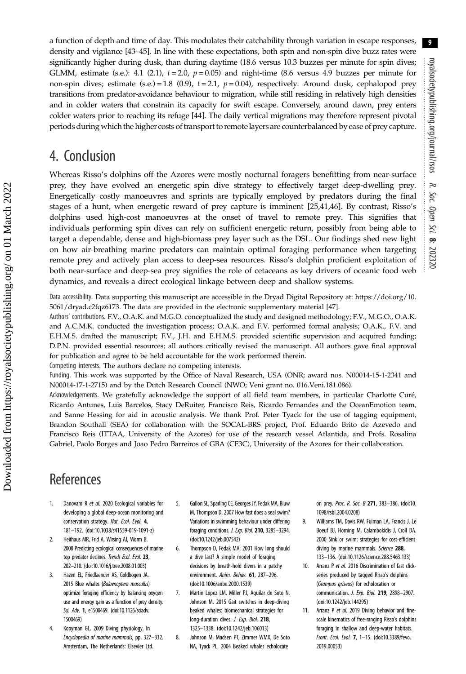<span id="page-9-0"></span>a function of depth and time of day. This modulates their catchability through variation in escape responses, density and vigilance [\[43](#page-10-0)–[45\]](#page-10-0). In line with these expectations, both spin and non-spin dive buzz rates were significantly higher during dusk, than during daytime (18.6 versus 10.3 buzzes per minute for spin dives; GLMM, estimate (s.e.): 4.1 (2.1),  $t = 2.0$ ,  $p = 0.05$ ) and night-time (8.6 versus 4.9 buzzes per minute for non-spin dives; estimate (s.e.) = 1.8 (0.9),  $t = 2.1$ ,  $p = 0.04$ ), respectively. Around dusk, cephalopod prey transitions from predator-avoidance behaviour to migration, while still residing in relatively high densities and in colder waters that constrain its capacity for swift escape. Conversely, around dawn, prey enters colder waters prior to reaching its refuge [\[44](#page-10-0)]. The daily vertical migrations may therefore represent pivotal periods during which the higher costs of transport to remote layers are counterbalanced by ease of prey capture.

## 4. Conclusion

Whereas Risso's dolphins off the Azores were mostly nocturnal foragers benefitting from near-surface prey, they have evolved an energetic spin dive strategy to effectively target deep-dwelling prey. Energetically costly manoeuvres and sprints are typically employed by predators during the final stages of a hunt, when energetic reward of prey capture is imminent [\[25](#page-10-0),[41,46\]](#page-10-0). By contrast, Risso's dolphins used high-cost manoeuvres at the onset of travel to remote prey. This signifies that individuals performing spin dives can rely on sufficient energetic return, possibly from being able to target a dependable, dense and high-biomass prey layer such as the DSL. Our findings shed new light on how air-breathing marine predators can maintain optimal foraging performance when targeting remote prey and actively plan access to deep-sea resources. Risso's dolphin proficient exploitation of both near-surface and deep-sea prey signifies the role of cetaceans as key drivers of oceanic food web dynamics, and reveals a direct ecological linkage between deep and shallow systems.

Data accessibility. Data supporting this manuscript are accessible in the Dryad Digital Repository at: [https://doi.org/10.](https://doi.org/10.5061/dryad.c2fqz6173) [5061/dryad.c2fqz6173.](https://doi.org/10.5061/dryad.c2fqz6173) The data are provided in the electronic supplementary material [\[47](#page-10-0)].

Authors' contributions. F.V., O.A.K. and M.G.O. conceptualized the study and designed methodology; F.V., M.G.O., O.A.K. and A.C.M.K. conducted the investigation process; O.A.K. and F.V. performed formal analysis; O.A.K., F.V. and E.H.M.S. drafted the manuscript; F.V., J.H. and E.H.M.S. provided scientific supervision and acquired funding; D.P.N. provided essential resources; all authors critically revised the manuscript. All authors gave final approval for publication and agree to be held accountable for the work performed therein.

Competing interests. The authors declare no competing interests.

Funding. This work was supported by the Office of Naval Research, USA (ONR; award nos. N00014-15-1-2341 and N00014-17-1-2715) and by the Dutch Research Council (NWO; Veni grant no. 016.Veni.181.086).

Acknowledgements. We gratefully acknowledge the support of all field team members, in particular Charlotte Curé, Ricardo Antunes, Luis Barcelos, Stacy DeRuiter, Francisco Reis, Ricardo Fernandes and the OceanEmotion team, and Sanne Hessing for aid in acoustic analysis. We thank Prof. Peter Tyack for the use of tagging equipment, Brandon Southall (SEA) for collaboration with the SOCAL-BRS project, Prof. Eduardo Brito de Azevedo and Francisco Reis (ITTAA, University of the Azores) for use of the research vessel Atlantida, and Profs. Rosalina Gabriel, Paolo Borges and Joao Pedro Barreiros of GBA (CE3C), University of the Azores for their collaboration.

# **References**

- 1. Danovaro R et al. 2020 Ecological variables for developing a global deep-ocean monitoring and conservation strategy. Nat. Ecol. Evol. 4, 181–192. ([doi:10.1038/s41559-019-1091-z\)](http://dx.doi.org/10.1038/s41559-019-1091-z)
- 2. Heithaus MR, Frid A, Wirsing AJ, Worm B. 2008 Predicting ecological consequences of marine top predator declines. Trends Ecol. Evol. 23, 202–210. ([doi:10.1016/j.tree.2008.01.003](http://dx.doi.org/10.1016/j.tree.2008.01.003))
- 3. Hazen EL, Friedlaender AS, Goldbogen JA. 2015 Blue whales (Balaenoptera musculus) optimize foraging efficiency by balancing oxygen use and energy gain as a function of prey density. Sci. Adv. 1, e1500469. ([doi:10.1126/sciadv.](http://dx.doi.org/10.1126/sciadv.1500469) [1500469\)](http://dx.doi.org/10.1126/sciadv.1500469)
- 4. Kooyman GL. 2009 Diving physiology. In Encyclopedia of marine mammals, pp. 327–332. Amsterdam, The Netherlands: Elsevier Ltd.
- 5. Gallon SL, Sparling CE, Georges JY, Fedak MA, Biuw M, Thompson D. 2007 How fast does a seal swim? Variations in swimming behaviour under differing foraging conditions. J. Exp. Biol. 210, 3285–3294. ([doi:10.1242/jeb.007542](http://dx.doi.org/10.1242/jeb.007542))
- 6. Thompson D, Fedak MA. 2001 How long should a dive last? A simple model of foraging decisions by breath-hold divers in a patchy environment. Anim. Behav. 61, 287–296. ([doi:10.1006/anbe.2000.1539](http://dx.doi.org/10.1006/anbe.2000.1539))
- 7. Martin Lopez LM, Miller PJ, Aguilar de Soto N, Johnson M. 2015 Gait switches in deep-diving beaked whales: biomechanical strategies for long-duration dives. J. Exp. Biol. 218, 1325–1338. ([doi:10.1242/jeb.106013](http://dx.doi.org/10.1242/jeb.106013))
- 8. Johnson M, Madsen PT, Zimmer WMX, De Soto NA, Tyack PL. 2004 Beaked whales echolocate

on prey. Proc. R. Soc. B 271, 383–386. ([doi:10.](http://dx.doi.org/10.1098/rsbl.2004.0208) [1098/rsbl.2004.0208](http://dx.doi.org/10.1098/rsbl.2004.0208))

- 9. Williams TM, Davis RW, Fuiman LA, Francis J, Le Boeuf BJ, Horning M, Calambokidis J, Croll DA. 2000 Sink or swim: strategies for cost-efficient diving by marine mammals. Science 288, 133–136. ([doi:10.1126/science.288.5463.133](http://dx.doi.org/10.1126/science.288.5463.133))
- 10. Arranz P et al. 2016 Discrimination of fast clickseries produced by tagged Risso's dolphins (Grampus griseus) for echolocation or communication. J. Exp. Biol. 219, 2898–2907. [\(doi:10.1242/jeb.144295\)](https://doi.org/10.1242/jeb.144295)
- 11. Arranz P et al. 2019 Diving behavior and finescale kinematics of free-ranging Risso's dolphins foraging in shallow and deep-water habitats. Front. Ecol. Evol. 7, 1–15. ([doi:10.3389/fevo.](http://dx.doi.org/10.3389/fevo.2019.00053) [2019.00053](http://dx.doi.org/10.3389/fevo.2019.00053))